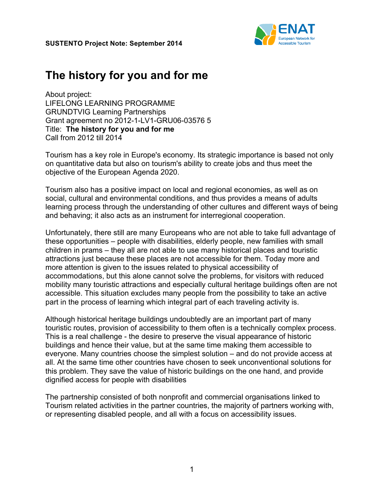

## **The history for you and for me**

About project: LIFELONG LEARNING PROGRAMME GRUNDTVIG Learning Partnerships Grant agreement no 2012-1-LV1-GRU06-03576 5 Title: **The history for you and for me** Call from 2012 till 2014

Tourism has a key role in Europe's economy. Its strategic importance is based not only on quantitative data but also on tourism's ability to create jobs and thus meet the objective of the European Agenda 2020.

Tourism also has a positive impact on local and regional economies, as well as on social, cultural and environmental conditions, and thus provides a means of adults learning process through the understanding of other cultures and different ways of being and behaving; it also acts as an instrument for interregional cooperation.

Unfortunately, there still are many Europeans who are not able to take full advantage of these opportunities – people with disabilities, elderly people, new families with small children in prams – they all are not able to use many historical places and touristic attractions just because these places are not accessible for them. Today more and more attention is given to the issues related to physical accessibility of accommodations, but this alone cannot solve the problems, for visitors with reduced mobility many touristic attractions and especially cultural heritage buildings often are not accessible. This situation excludes many people from the possibility to take an active part in the process of learning which integral part of each traveling activity is.

Although historical heritage buildings undoubtedly are an important part of many touristic routes, provision of accessibility to them often is a technically complex process. This is a real challenge - the desire to preserve the visual appearance of historic buildings and hence their value, but at the same time making them accessible to everyone. Many countries choose the simplest solution – and do not provide access at all. At the same time other countries have chosen to seek unconventional solutions for this problem. They save the value of historic buildings on the one hand, and provide dignified access for people with disabilities

The partnership consisted of both nonprofit and commercial organisations linked to Tourism related activities in the partner countries, the majority of partners working with, or representing disabled people, and all with a focus on accessibility issues.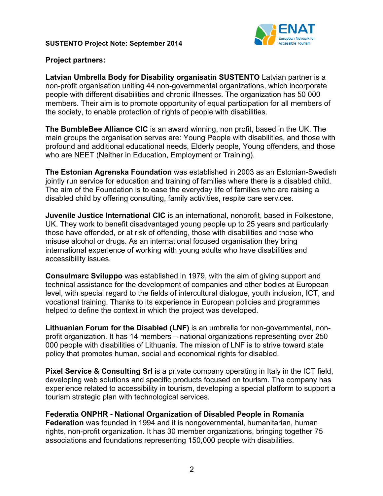

## **Project partners:**

**Latvian Umbrella Body for Disability organisatin SUSTENTO** Latvian partner is a non-profit organisation uniting 44 non-governmental organizations, which incorporate people with different disabilities and chronic illnesses. The organization has 50 000 members. Their aim is to promote opportunity of equal participation for all members of the society, to enable protection of rights of people with disabilities.

**The BumbleBee Alliance CIC** is an award winning, non profit, based in the UK. The main groups the organisation serves are: Young People with disabilities, and those with profound and additional educational needs, Elderly people, Young offenders, and those who are NEET (Neither in Education, Employment or Training).

**The Estonian Agrenska Foundation** was established in 2003 as an Estonian-Swedish jointly run service for education and training of families where there is a disabled child. The aim of the Foundation is to ease the everyday life of families who are raising a disabled child by offering consulting, family activities, respite care services.

**Juvenile Justice International CIC** is an international, nonprofit, based in Folkestone, UK. They work to benefit disadvantaged young people up to 25 years and particularly those have offended, or at risk of offending, those with disabilities and those who misuse alcohol or drugs. As an international focused organisation they bring international experience of working with young adults who have disabilities and accessibility issues.

**Consulmarc Sviluppo** was established in 1979, with the aim of giving support and technical assistance for the development of companies and other bodies at European level, with special regard to the fields of intercultural dialogue, youth inclusion, ICT, and vocational training. Thanks to its experience in European policies and programmes helped to define the context in which the project was developed.

**Lithuanian Forum for the Disabled (LNF)** is an umbrella for non-governmental, nonprofit organization. It has 14 members – national organizations representing over 250 000 people with disabilities of Lithuania. The mission of LNF is to strive toward state policy that promotes human, social and economical rights for disabled.

**Pixel Service & Consulting Srl** is a private company operating in Italy in the ICT field, developing web solutions and specific products focused on tourism. The company has experience related to accessibility in tourism, developing a special platform to support a tourism strategic plan with technological services.

**Federatia ONPHR - National Organization of Disabled People in Romania Federation** was founded in 1994 and it is nongovernmental, humanitarian, human rights, non-profit organization. It has 30 member organizations, bringing together 75 associations and foundations representing 150,000 people with disabilities.